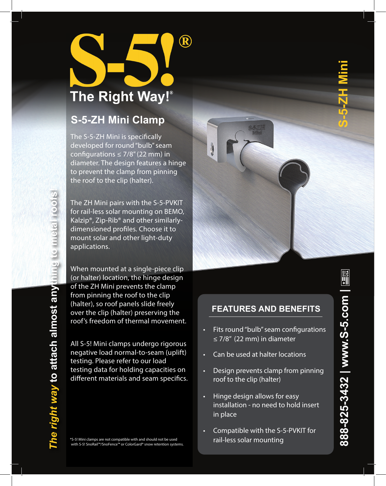

## **S-5-ZH Mini Clamp**

The S-5-ZH Mini is specifically developed for round "bulb" seam configurations  $\leq$  7/8" (22 mm) in diameter. The design features a hinge to prevent the clamp from pinning the roof to the clip (halter).

The ZH Mini pairs with the S-5-PVKIT for rail-less solar mounting on BEMO, Kalzip®, Zip-Rib® and other similarlydimensioned profiles. Choose it to mount solar and other light-duty applications.

When mounted at a single-piece clip (or halter) location, the hinge design of the ZH Mini prevents the clamp from pinning the roof to the clip (halter), so roof panels slide freely over the clip (halter) preserving the roof's freedom of thermal movement.

All S-5! Mini clamps undergo rigorous negative load normal-to-seam (uplift) testing. Please refer to our load testing data for holding capacities on different materials and seam specifics.

\*S-5! Mini clamps are not compatible with and should not be used with S-5! SnoRail™/SnoFence™ or ColorGard® snow retention systems.

# **FEATURES AND BENEFITS** • Fits round "bulb" seam configurations • Design prevents clamp from pinning

• Hinge design allows for easy installation - no need to hold insert in place

• Can be used at halter locations

≤ 7/8" (22 mm) in diameter

roof to the clip (halter)

• Compatible with the S-5-PVKIT for rail-less solar mounting

**888-825-3432 | www.S-5.com | S-5-ZH Mini** $\begin{array}{c}\n\overbrace{\phantom{0}}^{\text{max}}\\
\overbrace{\phantom{0}}^{\text{max}}\\
\overbrace{\phantom{0}}^{\text{max}}\\
\end{array}$ 888-825-3432 | www.S-5.com